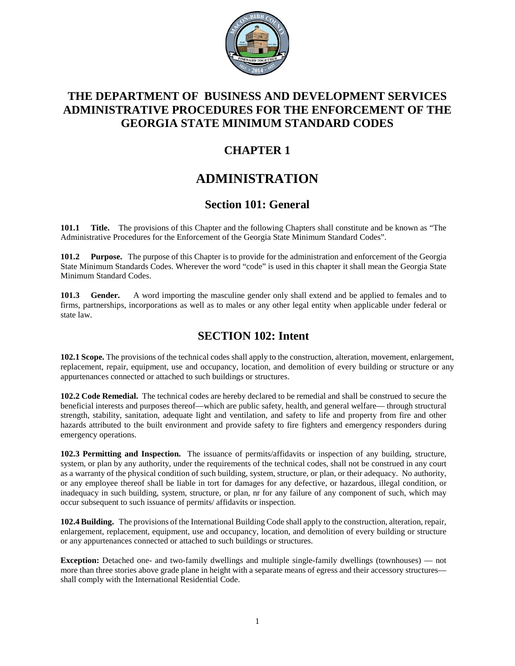

## **THE DEPARTMENT OF BUSINESS AND DEVELOPMENT SERVICES ADMINISTRATIVE PROCEDURES FOR THE ENFORCEMENT OF THE GEORGIA STATE MINIMUM STANDARD CODES**

## **CHAPTER 1**

# **ADMINISTRATION**

## **Section 101: General**

**101.1 Title.** The provisions of this Chapter and the following Chapters shall constitute and be known as "The Administrative Procedures for the Enforcement of the Georgia State Minimum Standard Codes".

**101.2 Purpose.** The purpose of this Chapter is to provide for the administration and enforcement of the Georgia State Minimum Standards Codes. Wherever the word "code" is used in this chapter it shall mean the Georgia State Minimum Standard Codes.

**101.3 Gender.** A word importing the masculine gender only shall extend and be applied to females and to firms, partnerships, incorporations as well as to males or any other legal entity when applicable under federal or state law.

## **SECTION 102: Intent**

**102.1 Scope.** The provisions of the technical codes shall apply to the construction, alteration, movement, enlargement, replacement, repair, equipment, use and occupancy, location, and demolition of every building or structure or any appurtenances connected or attached to such buildings or structures.

**102.2 Code Remedial.** The technical codes are hereby declared to be remedial and shall be construed to secure the beneficial interests and purposes thereof—which are public safety, health, and general welfare— through structural strength, stability, sanitation, adequate light and ventilation, and safety to life and property from fire and other hazards attributed to the built environment and provide safety to fire fighters and emergency responders during emergency operations.

**102.3 Permitting and Inspection.** The issuance of permits/affidavits or inspection of any building, structure, system, or plan by any authority, under the requirements of the technical codes, shall not be construed in any court as a warranty of the physical condition of such building, system, structure, or plan, or their adequacy. No authority, or any employee thereof shall be liable in tort for damages for any defective, or hazardous, illegal condition, or inadequacy in such building, system, structure, or plan, nr for any failure of any component of such, which may occur subsequent to such issuance of permits/ affidavits or inspection.

**102.4 Building.** The provisions of the International Building Code shall apply to the construction, alteration, repair, enlargement, replacement, equipment, use and occupancy, location, and demolition of every building or structure or any appurtenances connected or attached to such buildings or structures.

**Exception:** Detached one- and two-family dwellings and multiple single-family dwellings (townhouses) — not more than three stories above grade plane in height with a separate means of egress and their accessory structures shall comply with the International Residential Code.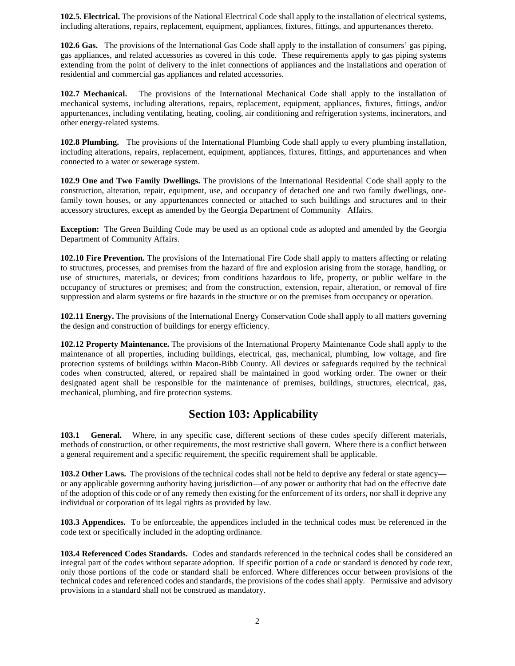**102.5. Electrical.** The provisions of the National Electrical Code shall apply to the installation of electrical systems, including alterations, repairs, replacement, equipment, appliances, fixtures, fittings, and appurtenances thereto.

**102.6 Gas.** The provisions of the International Gas Code shall apply to the installation of consumers' gas piping, gas appliances, and related accessories as covered in this code. These requirements apply to gas piping systems extending from the point of delivery to the inlet connections of appliances and the installations and operation of residential and commercial gas appliances and related accessories.

**102.7 Mechanical.** The provisions of the International Mechanical Code shall apply to the installation of mechanical systems, including alterations, repairs, replacement, equipment, appliances, fixtures, fittings, and/or appurtenances, including ventilating, heating, cooling, air conditioning and refrigeration systems, incinerators, and other energy-related systems.

**102.8 Plumbing.** The provisions of the International Plumbing Code shall apply to every plumbing installation, including alterations, repairs, replacement, equipment, appliances, fixtures, fittings, and appurtenances and when connected to a water or sewerage system.

**102.9 One and Two Family Dwellings.** The provisions of the International Residential Code shall apply to the construction, alteration, repair, equipment, use, and occupancy of detached one and two family dwellings, onefamily town houses, or any appurtenances connected or attached to such buildings and structures and to their accessory structures, except as amended by the Georgia Department of Community Affairs.

**Exception:** The Green Building Code may be used as an optional code as adopted and amended by the Georgia Department of Community Affairs.

**102.10 Fire Prevention.** The provisions of the International Fire Code shall apply to matters affecting or relating to structures, processes, and premises from the hazard of fire and explosion arising from the storage, handling, or use of structures, materials, or devices; from conditions hazardous to life, property, or public welfare in the occupancy of structures or premises; and from the construction, extension, repair, alteration, or removal of fire suppression and alarm systems or fire hazards in the structure or on the premises from occupancy or operation.

**102.11 Energy.** The provisions of the International Energy Conservation Code shall apply to all matters governing the design and construction of buildings for energy efficiency.

**102.12 Property Maintenance.** The provisions of the International Property Maintenance Code shall apply to the maintenance of all properties, including buildings, electrical, gas, mechanical, plumbing, low voltage, and fire protection systems of buildings within Macon-Bibb County. All devices or safeguards required by the technical codes when constructed, altered, or repaired shall be maintained in good working order. The owner or their designated agent shall be responsible for the maintenance of premises, buildings, structures, electrical, gas, mechanical, plumbing, and fire protection systems.

## **Section 103: Applicability**

**103.1 General.** Where, in any specific case, different sections of these codes specify different materials, methods of construction, or other requirements, the most restrictive shall govern. Where there is a conflict between a general requirement and a specific requirement, the specific requirement shall be applicable.

**103.2 Other Laws.** The provisions of the technical codes shall not be held to deprive any federal or state agency or any applicable governing authority having jurisdiction—of any power or authority that had on the effective date of the adoption of this code or of any remedy then existing for the enforcement of its orders, nor shall it deprive any individual or corporation of its legal rights as provided by law.

**103.3 Appendices.** To be enforceable, the appendices included in the technical codes must be referenced in the code text or specifically included in the adopting ordinance.

**103.4 Referenced Codes Standards.** Codes and standards referenced in the technical codes shall be considered an integral part of the codes without separate adoption. If specific portion of a code or standard is denoted by code text, only those portions of the code or standard shall be enforced. Where differences occur between provisions of the technical codes and referenced codes and standards, the provisions of the codes shall apply. Permissive and advisory provisions in a standard shall not be construed as mandatory.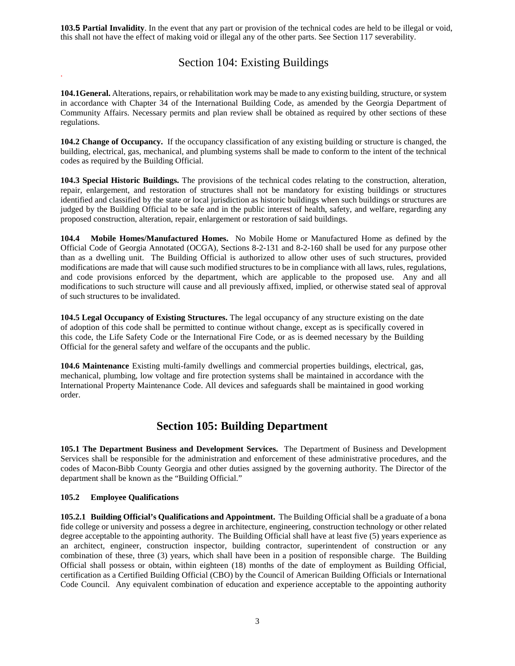**103.5 Partial Invalidity**. In the event that any part or provision of the technical codes are held to be illegal or void, this shall not have the effect of making void or illegal any of the other parts. See Section 117 severability.

## Section 104: Existing Buildings

**104.1General.** Alterations, repairs, or rehabilitation work may be made to any existing building, structure, or system in accordance with Chapter 34 of the International Building Code, as amended by the Georgia Department of Community Affairs. Necessary permits and plan review shall be obtained as required by other sections of these regulations.

**104.2 Change of Occupancy.** If the occupancy classification of any existing building or structure is changed, the building, electrical, gas, mechanical, and plumbing systems shall be made to conform to the intent of the technical codes as required by the Building Official.

**104.3 Special Historic Buildings.** The provisions of the technical codes relating to the construction, alteration, repair, enlargement, and restoration of structures shall not be mandatory for existing buildings or structures identified and classified by the state or local jurisdiction as historic buildings when such buildings or structures are judged by the Building Official to be safe and in the public interest of health, safety, and welfare, regarding any proposed construction, alteration, repair, enlargement or restoration of said buildings.

**104.4 Mobile Homes/Manufactured Homes.** No Mobile Home or Manufactured Home as defined by the Official Code of Georgia Annotated (OCGA), Sections 8-2-131 and 8-2-160 shall be used for any purpose other than as a dwelling unit. The Building Official is authorized to allow other uses of such structures, provided modifications are made that will cause such modified structures to be in compliance with all laws, rules, regulations, and code provisions enforced by the department, which are applicable to the proposed use. Any and all modifications to such structure will cause and all previously affixed, implied, or otherwise stated seal of approval of such structures to be invalidated.

**104.5 Legal Occupancy of Existing Structures.** The legal occupancy of any structure existing on the date of adoption of this code shall be permitted to continue without change, except as is specifically covered in this code, the Life Safety Code or the International Fire Code, or as is deemed necessary by the Building Official for the general safety and welfare of the occupants and the public.

**104.6 Maintenance** Existing multi-family dwellings and commercial properties buildings, electrical, gas, mechanical, plumbing, low voltage and fire protection systems shall be maintained in accordance with the International Property Maintenance Code. All devices and safeguards shall be maintained in good working order.

## **Section 105: Building Department**

**105.1 The Department Business and Development Services.** The Department of Business and Development Services shall be responsible for the administration and enforcement of these administrative procedures, and the codes of Macon-Bibb County Georgia and other duties assigned by the governing authority. The Director of the department shall be known as the "Building Official."

#### **105.2 Employee Qualifications**

.

**105.2.1 Building Official's Qualifications and Appointment.** The Building Official shall be a graduate of a bona fide college or university and possess a degree in architecture, engineering, construction technology or other related degree acceptable to the appointing authority. The Building Official shall have at least five (5) years experience as an architect, engineer, construction inspector, building contractor, superintendent of construction or any combination of these, three (3) years, which shall have been in a position of responsible charge. The Building Official shall possess or obtain, within eighteen (18) months of the date of employment as Building Official, certification as a Certified Building Official (CBO) by the Council of American Building Officials or International Code Council. Any equivalent combination of education and experience acceptable to the appointing authority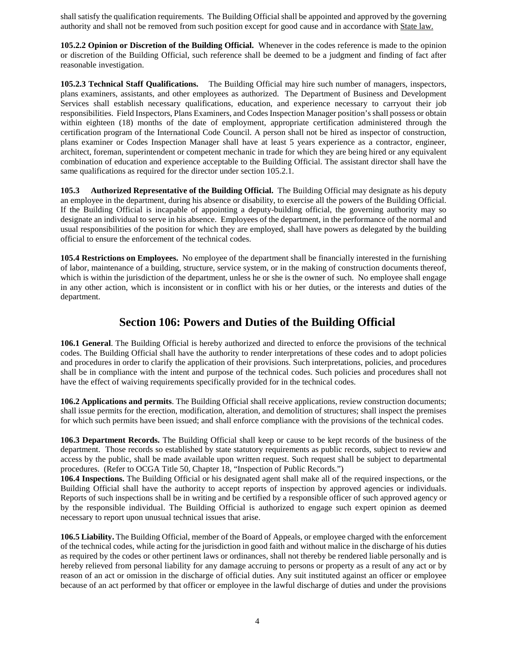shall satisfy the qualification requirements. The Building Official shall be appointed and approved by the governing authority and shall not be removed from such position except for good cause and in accordance with State law.

**105.2.2 Opinion or Discretion of the Building Official.** Whenever in the codes reference is made to the opinion or discretion of the Building Official, such reference shall be deemed to be a judgment and finding of fact after reasonable investigation.

**105.2.3 Technical Staff Qualifications.** The Building Official may hire such number of managers, inspectors, plans examiners, assistants, and other employees as authorized. The Department of Business and Development Services shall establish necessary qualifications, education, and experience necessary to carryout their job responsibilities. Field Inspectors, Plans Examiners, and Codes Inspection Manager position's shall possess or obtain within eighteen (18) months of the date of employment, appropriate certification administered through the certification program of the International Code Council. A person shall not be hired as inspector of construction, plans examiner or Codes Inspection Manager shall have at least 5 years experience as a contractor, engineer, architect, foreman, superintendent or competent mechanic in trade for which they are being hired or any equivalent combination of education and experience acceptable to the Building Official. The assistant director shall have the same qualifications as required for the director under section 105.2.1.

**105.3 Authorized Representative of the Building Official.** The Building Official may designate as his deputy an employee in the department, during his absence or disability, to exercise all the powers of the Building Official. If the Building Official is incapable of appointing a deputy-building official, the governing authority may so designate an individual to serve in his absence. Employees of the department, in the performance of the normal and usual responsibilities of the position for which they are employed, shall have powers as delegated by the building official to ensure the enforcement of the technical codes.

**105.4 Restrictions on Employees.** No employee of the department shall be financially interested in the furnishing of labor, maintenance of a building, structure, service system, or in the making of construction documents thereof, which is within the jurisdiction of the department, unless he or she is the owner of such. No employee shall engage in any other action, which is inconsistent or in conflict with his or her duties, or the interests and duties of the department.

### **Section 106: Powers and Duties of the Building Official**

**106.1 General**. The Building Official is hereby authorized and directed to enforce the provisions of the technical codes. The Building Official shall have the authority to render interpretations of these codes and to adopt policies and procedures in order to clarify the application of their provisions. Such interpretations, policies, and procedures shall be in compliance with the intent and purpose of the technical codes. Such policies and procedures shall not have the effect of waiving requirements specifically provided for in the technical codes.

**106.2 Applications and permits**. The Building Official shall receive applications, review construction documents; shall issue permits for the erection, modification, alteration, and demolition of structures; shall inspect the premises for which such permits have been issued; and shall enforce compliance with the provisions of the technical codes.

**106.3 Department Records.** The Building Official shall keep or cause to be kept records of the business of the department. Those records so established by state statutory requirements as public records, subject to review and access by the public, shall be made available upon written request. Such request shall be subject to departmental procedures. (Refer to OCGA Title 50, Chapter 18, "Inspection of Public Records.")

**106.4 Inspections.** The Building Official or his designated agent shall make all of the required inspections, or the Building Official shall have the authority to accept reports of inspection by approved agencies or individuals. Reports of such inspections shall be in writing and be certified by a responsible officer of such approved agency or by the responsible individual. The Building Official is authorized to engage such expert opinion as deemed necessary to report upon unusual technical issues that arise.

**106.5 Liability.** The Building Official, member of the Board of Appeals, or employee charged with the enforcement of the technical codes, while acting for the jurisdiction in good faith and without malice in the discharge of his duties as required by the codes or other pertinent laws or ordinances, shall not thereby be rendered liable personally and is hereby relieved from personal liability for any damage accruing to persons or property as a result of any act or by reason of an act or omission in the discharge of official duties. Any suit instituted against an officer or employee because of an act performed by that officer or employee in the lawful discharge of duties and under the provisions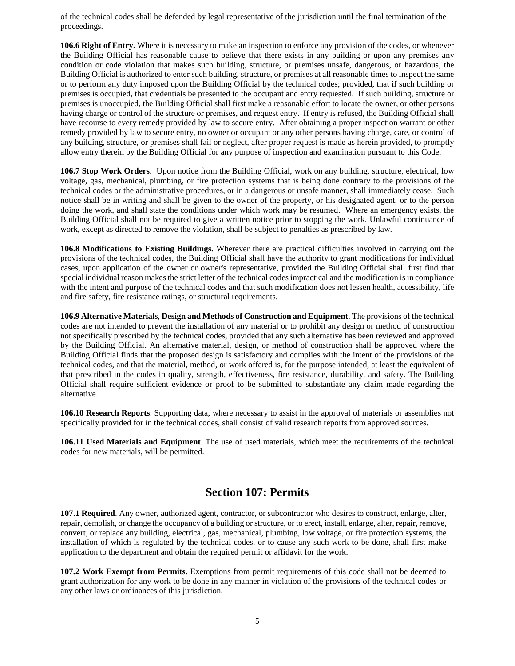of the technical codes shall be defended by legal representative of the jurisdiction until the final termination of the proceedings.

**106.6 Right of Entry.** Where it is necessary to make an inspection to enforce any provision of the codes, or whenever the Building Official has reasonable cause to believe that there exists in any building or upon any premises any condition or code violation that makes such building, structure, or premises unsafe, dangerous, or hazardous, the Building Official is authorized to enter such building, structure, or premises at all reasonable times to inspect the same or to perform any duty imposed upon the Building Official by the technical codes; provided, that if such building or premises is occupied, that credentials be presented to the occupant and entry requested. If such building, structure or premises is unoccupied, the Building Official shall first make a reasonable effort to locate the owner, or other persons having charge or control of the structure or premises, and request entry. If entry is refused, the Building Official shall have recourse to every remedy provided by law to secure entry. After obtaining a proper inspection warrant or other remedy provided by law to secure entry, no owner or occupant or any other persons having charge, care, or control of any building, structure, or premises shall fail or neglect, after proper request is made as herein provided, to promptly allow entry therein by the Building Official for any purpose of inspection and examination pursuant to this Code.

**106.7 Stop Work Orders**. Upon notice from the Building Official, work on any building, structure, electrical, low voltage, gas, mechanical, plumbing, or fire protection systems that is being done contrary to the provisions of the technical codes or the administrative procedures, or in a dangerous or unsafe manner, shall immediately cease. Such notice shall be in writing and shall be given to the owner of the property, or his designated agent, or to the person doing the work, and shall state the conditions under which work may be resumed. Where an emergency exists, the Building Official shall not be required to give a written notice prior to stopping the work. Unlawful continuance of work, except as directed to remove the violation, shall be subject to penalties as prescribed by law.

**106.8 Modifications to Existing Buildings.** Wherever there are practical difficulties involved in carrying out the provisions of the technical codes, the Building Official shall have the authority to grant modifications for individual cases, upon application of the owner or owner's representative, provided the Building Official shall first find that special individual reason makes the strict letter of the technical codes impractical and the modification is in compliance with the intent and purpose of the technical codes and that such modification does not lessen health, accessibility, life and fire safety, fire resistance ratings, or structural requirements.

**106.9 Alternative Materials**, **Design and Methods of Construction and Equipment**. The provisions of the technical codes are not intended to prevent the installation of any material or to prohibit any design or method of construction not specifically prescribed by the technical codes, provided that any such alternative has been reviewed and approved by the Building Official. An alternative material, design, or method of construction shall be approved where the Building Official finds that the proposed design is satisfactory and complies with the intent of the provisions of the technical codes, and that the material, method, or work offered is, for the purpose intended, at least the equivalent of that prescribed in the codes in quality, strength, effectiveness, fire resistance, durability, and safety. The Building Official shall require sufficient evidence or proof to be submitted to substantiate any claim made regarding the alternative.

**106.10 Research Reports**. Supporting data, where necessary to assist in the approval of materials or assemblies not specifically provided for in the technical codes, shall consist of valid research reports from approved sources.

**106.11 Used Materials and Equipment**. The use of used materials, which meet the requirements of the technical codes for new materials, will be permitted.

### **Section 107: Permits**

**107.1 Required**. Any owner, authorized agent, contractor, or subcontractor who desires to construct, enlarge, alter, repair, demolish, or change the occupancy of a building or structure, or to erect, install, enlarge, alter, repair, remove, convert, or replace any building, electrical, gas, mechanical, plumbing, low voltage, or fire protection systems, the installation of which is regulated by the technical codes, or to cause any such work to be done, shall first make application to the department and obtain the required permit or affidavit for the work.

**107.2 Work Exempt from Permits.** Exemptions from permit requirements of this code shall not be deemed to grant authorization for any work to be done in any manner in violation of the provisions of the technical codes or any other laws or ordinances of this jurisdiction.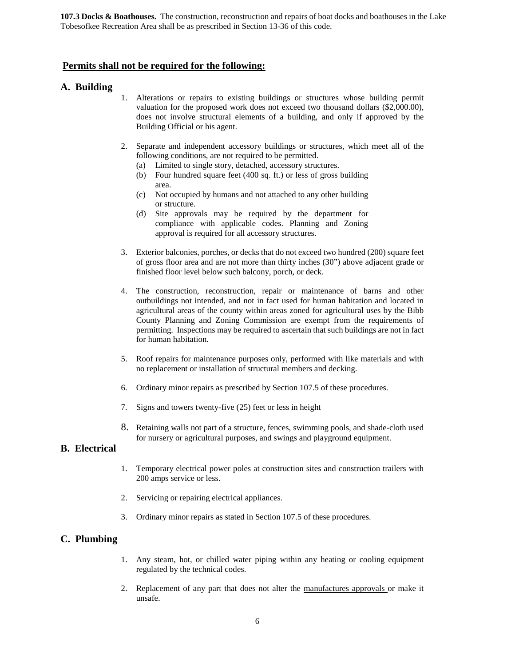**107.3 Docks & Boathouses.** The construction, reconstruction and repairs of boat docks and boathouses in the Lake Tobesofkee Recreation Area shall be as prescribed in Section 13-36 of this code.

#### **Permits shall not be required for the following:**

#### **A. Building**

- 1. Alterations or repairs to existing buildings or structures whose building permit valuation for the proposed work does not exceed two thousand dollars (\$2,000.00), does not involve structural elements of a building, and only if approved by the Building Official or his agent.
- 2. Separate and independent accessory buildings or structures, which meet all of the following conditions, are not required to be permitted.
	- (a) Limited to single story, detached, accessory structures.
	- (b) Four hundred square feet (400 sq. ft.) or less of gross building area.
	- (c) Not occupied by humans and not attached to any other building or structure.
	- (d) Site approvals may be required by the department for compliance with applicable codes. Planning and Zoning approval is required for all accessory structures.
- 3. Exterior balconies, porches, or decks that do not exceed two hundred (200) square feet of gross floor area and are not more than thirty inches (30") above adjacent grade or finished floor level below such balcony, porch, or deck.
- 4. The construction, reconstruction, repair or maintenance of barns and other outbuildings not intended, and not in fact used for human habitation and located in agricultural areas of the county within areas zoned for agricultural uses by the Bibb County Planning and Zoning Commission are exempt from the requirements of permitting. Inspections may be required to ascertain that such buildings are not in fact for human habitation.
- 5. Roof repairs for maintenance purposes only, performed with like materials and with no replacement or installation of structural members and decking.
- 6. Ordinary minor repairs as prescribed by Section 107.5 of these procedures.
- 7. Signs and towers twenty-five (25) feet or less in height
- 8. Retaining walls not part of a structure, fences, swimming pools, and shade-cloth used for nursery or agricultural purposes, and swings and playground equipment.

#### **B. Electrical**

- 1. Temporary electrical power poles at construction sites and construction trailers with 200 amps service or less.
- 2. Servicing or repairing electrical appliances.
- 3. Ordinary minor repairs as stated in Section 107.5 of these procedures.

#### **C. Plumbing**

- 1. Any steam, hot, or chilled water piping within any heating or cooling equipment regulated by the technical codes.
- 2. Replacement of any part that does not alter the manufactures approvals or make it unsafe.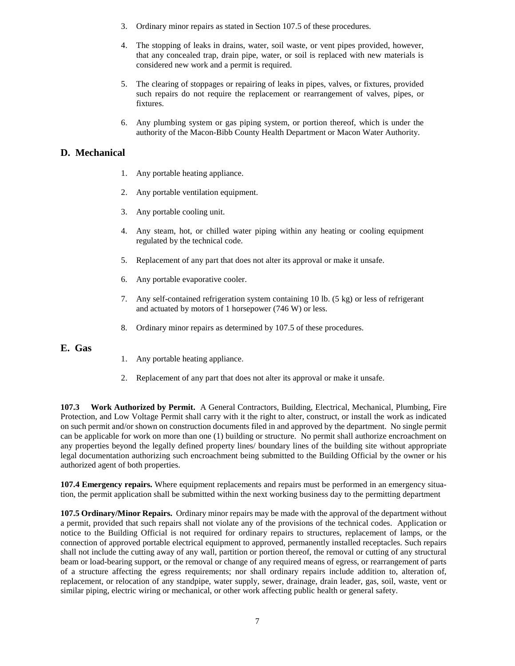- 3. Ordinary minor repairs as stated in Section 107.5 of these procedures.
- 4. The stopping of leaks in drains, water, soil waste, or vent pipes provided, however, that any concealed trap, drain pipe, water, or soil is replaced with new materials is considered new work and a permit is required.
- 5. The clearing of stoppages or repairing of leaks in pipes, valves, or fixtures, provided such repairs do not require the replacement or rearrangement of valves, pipes, or fixtures.
- 6. Any plumbing system or gas piping system, or portion thereof, which is under the authority of the Macon-Bibb County Health Department or Macon Water Authority.

### **D. Mechanical**

- 1. Any portable heating appliance.
- 2. Any portable ventilation equipment.
- 3. Any portable cooling unit.
- 4. Any steam, hot, or chilled water piping within any heating or cooling equipment regulated by the technical code.
- 5. Replacement of any part that does not alter its approval or make it unsafe.
- 6. Any portable evaporative cooler.
- 7. Any self-contained refrigeration system containing 10 lb. (5 kg) or less of refrigerant and actuated by motors of 1 horsepower (746 W) or less.
- 8. Ordinary minor repairs as determined by 107.5 of these procedures.

#### **E. Gas**

- 1. Any portable heating appliance.
- 2. Replacement of any part that does not alter its approval or make it unsafe.

**107.3 Work Authorized by Permit.** A General Contractors, Building, Electrical, Mechanical, Plumbing, Fire Protection, and Low Voltage Permit shall carry with it the right to alter, construct, or install the work as indicated on such permit and/or shown on construction documents filed in and approved by the department. No single permit can be applicable for work on more than one (1) building or structure. No permit shall authorize encroachment on any properties beyond the legally defined property lines/ boundary lines of the building site without appropriate legal documentation authorizing such encroachment being submitted to the Building Official by the owner or his authorized agent of both properties.

**107.4 Emergency repairs.** Where equipment replacements and repairs must be performed in an emergency situation, the permit application shall be submitted within the next working business day to the permitting department

**107.5 Ordinary/Minor Repairs.** Ordinary minor repairs may be made with the approval of the department without a permit, provided that such repairs shall not violate any of the provisions of the technical codes. Application or notice to the Building Official is not required for ordinary repairs to structures, replacement of lamps, or the connection of approved portable electrical equipment to approved, permanently installed receptacles. Such repairs shall not include the cutting away of any wall, partition or portion thereof, the removal or cutting of any structural beam or load-bearing support, or the removal or change of any required means of egress, or rearrangement of parts of a structure affecting the egress requirements; nor shall ordinary repairs include addition to, alteration of, replacement, or relocation of any standpipe, water supply, sewer, drainage, drain leader, gas, soil, waste, vent or similar piping, electric wiring or mechanical, or other work affecting public health or general safety.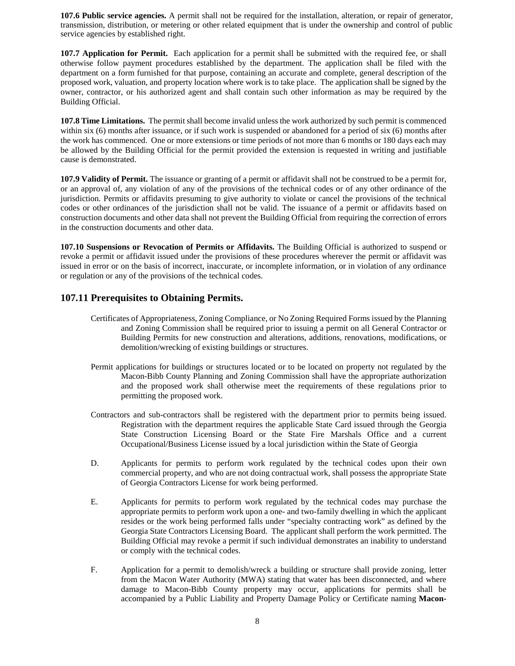**107.6 Public service agencies.** A permit shall not be required for the installation, alteration, or repair of generator, transmission, distribution, or metering or other related equipment that is under the ownership and control of public service agencies by established right.

**107.7 Application for Permit.** Each application for a permit shall be submitted with the required fee, or shall otherwise follow payment procedures established by the department. The application shall be filed with the department on a form furnished for that purpose, containing an accurate and complete, general description of the proposed work, valuation, and property location where work is to take place. The application shall be signed by the owner, contractor, or his authorized agent and shall contain such other information as may be required by the Building Official.

**107.8 Time Limitations.** The permit shall become invalid unless the work authorized by such permit is commenced within six (6) months after issuance, or if such work is suspended or abandoned for a period of six (6) months after the work has commenced. One or more extensions or time periods of not more than 6 months or 180 days each may be allowed by the Building Official for the permit provided the extension is requested in writing and justifiable cause is demonstrated.

**107.9 Validity of Permit.** The issuance or granting of a permit or affidavit shall not be construed to be a permit for, or an approval of, any violation of any of the provisions of the technical codes or of any other ordinance of the jurisdiction. Permits or affidavits presuming to give authority to violate or cancel the provisions of the technical codes or other ordinances of the jurisdiction shall not be valid. The issuance of a permit or affidavits based on construction documents and other data shall not prevent the Building Official from requiring the correction of errors in the construction documents and other data.

**107.10 Suspensions or Revocation of Permits or Affidavits.** The Building Official is authorized to suspend or revoke a permit or affidavit issued under the provisions of these procedures wherever the permit or affidavit was issued in error or on the basis of incorrect, inaccurate, or incomplete information, or in violation of any ordinance or regulation or any of the provisions of the technical codes.

### **107.11 Prerequisites to Obtaining Permits.**

- Certificates of Appropriateness, Zoning Compliance, or No Zoning Required Forms issued by the Planning and Zoning Commission shall be required prior to issuing a permit on all General Contractor or Building Permits for new construction and alterations, additions, renovations, modifications, or demolition/wrecking of existing buildings or structures.
- Permit applications for buildings or structures located or to be located on property not regulated by the Macon-Bibb County Planning and Zoning Commission shall have the appropriate authorization and the proposed work shall otherwise meet the requirements of these regulations prior to permitting the proposed work.
- Contractors and sub-contractors shall be registered with the department prior to permits being issued. Registration with the department requires the applicable State Card issued through the Georgia State Construction Licensing Board or the State Fire Marshals Office and a current Occupational/Business License issued by a local jurisdiction within the State of Georgia
- D. Applicants for permits to perform work regulated by the technical codes upon their own commercial property, and who are not doing contractual work, shall possess the appropriate State of Georgia Contractors License for work being performed.
- E. Applicants for permits to perform work regulated by the technical codes may purchase the appropriate permits to perform work upon a one- and two-family dwelling in which the applicant resides or the work being performed falls under "specialty contracting work" as defined by the Georgia State Contractors Licensing Board. The applicant shall perform the work permitted. The Building Official may revoke a permit if such individual demonstrates an inability to understand or comply with the technical codes.
- F. Application for a permit to demolish/wreck a building or structure shall provide zoning, letter from the Macon Water Authority (MWA) stating that water has been disconnected, and where damage to Macon-Bibb County property may occur, applications for permits shall be accompanied by a Public Liability and Property Damage Policy or Certificate naming **Macon-**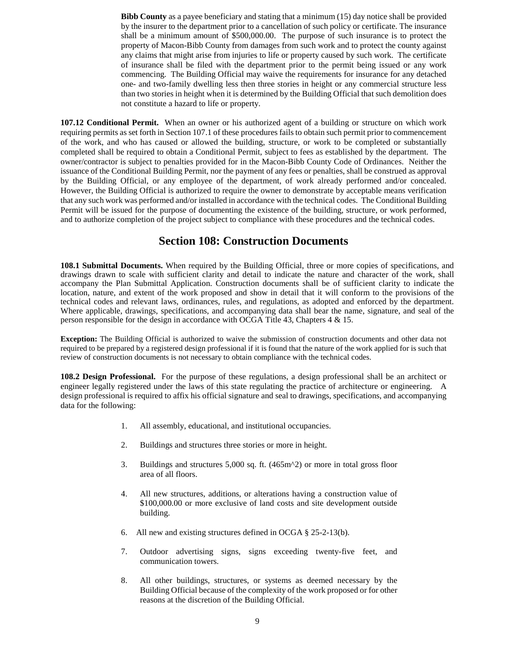**Bibb County** as a payee beneficiary and stating that a minimum (15) day notice shall be provided by the insurer to the department prior to a cancellation of such policy or certificate. The insurance shall be a minimum amount of \$500,000.00. The purpose of such insurance is to protect the property of Macon-Bibb County from damages from such work and to protect the county against any claims that might arise from injuries to life or property caused by such work. The certificate of insurance shall be filed with the department prior to the permit being issued or any work commencing. The Building Official may waive the requirements for insurance for any detached one- and two-family dwelling less then three stories in height or any commercial structure less than two stories in height when it is determined by the Building Official that such demolition does not constitute a hazard to life or property.

**107.12 Conditional Permit.** When an owner or his authorized agent of a building or structure on which work requiring permits as set forth in Section 107.1 of these procedures fails to obtain such permit prior to commencement of the work, and who has caused or allowed the building, structure, or work to be completed or substantially completed shall be required to obtain a Conditional Permit, subject to fees as established by the department. The owner/contractor is subject to penalties provided for in the Macon-Bibb County Code of Ordinances. Neither the issuance of the Conditional Building Permit, nor the payment of any fees or penalties, shall be construed as approval by the Building Official, or any employee of the department, of work already performed and/or concealed. However, the Building Official is authorized to require the owner to demonstrate by acceptable means verification that any such work was performed and/or installed in accordance with the technical codes. The Conditional Building Permit will be issued for the purpose of documenting the existence of the building, structure, or work performed, and to authorize completion of the project subject to compliance with these procedures and the technical codes.

### **Section 108: Construction Documents**

**108.1 Submittal Documents.** When required by the Building Official, three or more copies of specifications, and drawings drawn to scale with sufficient clarity and detail to indicate the nature and character of the work, shall accompany the Plan Submittal Application. Construction documents shall be of sufficient clarity to indicate the location, nature, and extent of the work proposed and show in detail that it will conform to the provisions of the technical codes and relevant laws, ordinances, rules, and regulations, as adopted and enforced by the department. Where applicable, drawings, specifications, and accompanying data shall bear the name, signature, and seal of the person responsible for the design in accordance with OCGA Title 43, Chapters 4 & 15.

**Exception:** The Building Official is authorized to waive the submission of construction documents and other data not required to be prepared by a registered design professional if it is found that the nature of the work applied for is such that review of construction documents is not necessary to obtain compliance with the technical codes.

**108.2 Design Professional.** For the purpose of these regulations, a design professional shall be an architect or engineer legally registered under the laws of this state regulating the practice of architecture or engineering. A design professional is required to affix his official signature and seal to drawings, specifications, and accompanying data for the following:

- 1. All assembly, educational, and institutional occupancies.
- 2. Buildings and structures three stories or more in height.
- 3. Buildings and structures 5,000 sq. ft. (465m^2) or more in total gross floor area of all floors.
- 4. All new structures, additions, or alterations having a construction value of \$100,000.00 or more exclusive of land costs and site development outside building.
- 6. All new and existing structures defined in OCGA § 25-2-13(b).
- 7. Outdoor advertising signs, signs exceeding twenty-five feet, and communication towers.
- 8. All other buildings, structures, or systems as deemed necessary by the Building Official because of the complexity of the work proposed or for other reasons at the discretion of the Building Official.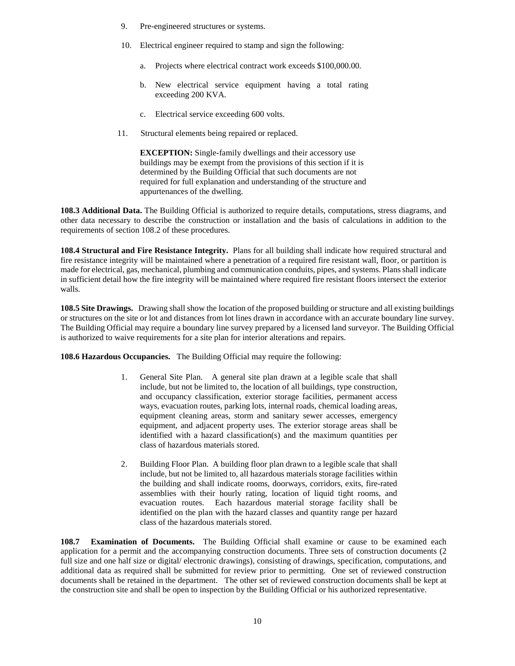- 9. Pre-engineered structures or systems.
- 10. Electrical engineer required to stamp and sign the following:
	- a. Projects where electrical contract work exceeds \$100,000.00.
	- b. New electrical service equipment having a total rating exceeding 200 KVA.
	- c. Electrical service exceeding 600 volts.
- 11. Structural elements being repaired or replaced.

**EXCEPTION:** Single-family dwellings and their accessory use buildings may be exempt from the provisions of this section if it is determined by the Building Official that such documents are not required for full explanation and understanding of the structure and appurtenances of the dwelling.

**108.3 Additional Data.** The Building Official is authorized to require details, computations, stress diagrams, and other data necessary to describe the construction or installation and the basis of calculations in addition to the requirements of section 108.2 of these procedures.

**108.4 Structural and Fire Resistance Integrity.** Plans for all building shall indicate how required structural and fire resistance integrity will be maintained where a penetration of a required fire resistant wall, floor, or partition is made for electrical, gas, mechanical, plumbing and communication conduits, pipes, and systems. Plans shall indicate in sufficient detail how the fire integrity will be maintained where required fire resistant floors intersect the exterior walls.

**108.5 Site Drawings.** Drawing shall show the location of the proposed building or structure and all existing buildings or structures on the site or lot and distances from lot lines drawn in accordance with an accurate boundary line survey. The Building Official may require a boundary line survey prepared by a licensed land surveyor. The Building Official is authorized to waive requirements for a site plan for interior alterations and repairs.

**108.6 Hazardous Occupancies.** The Building Official may require the following:

- 1. General Site Plan. A general site plan drawn at a legible scale that shall include, but not be limited to, the location of all buildings, type construction, and occupancy classification, exterior storage facilities, permanent access ways, evacuation routes, parking lots, internal roads, chemical loading areas, equipment cleaning areas, storm and sanitary sewer accesses, emergency equipment, and adjacent property uses. The exterior storage areas shall be identified with a hazard classification(s) and the maximum quantities per class of hazardous materials stored.
- 2. Building Floor Plan. A building floor plan drawn to a legible scale that shall include, but not be limited to, all hazardous materials storage facilities within the building and shall indicate rooms, doorways, corridors, exits, fire-rated assemblies with their hourly rating, location of liquid tight rooms, and evacuation routes. Each hazardous material storage facility shall be identified on the plan with the hazard classes and quantity range per hazard class of the hazardous materials stored.

**108.7 Examination of Documents.** The Building Official shall examine or cause to be examined each application for a permit and the accompanying construction documents. Three sets of construction documents (2 full size and one half size or digital/ electronic drawings), consisting of drawings, specification, computations, and additional data as required shall be submitted for review prior to permitting. One set of reviewed construction documents shall be retained in the department. The other set of reviewed construction documents shall be kept at the construction site and shall be open to inspection by the Building Official or his authorized representative.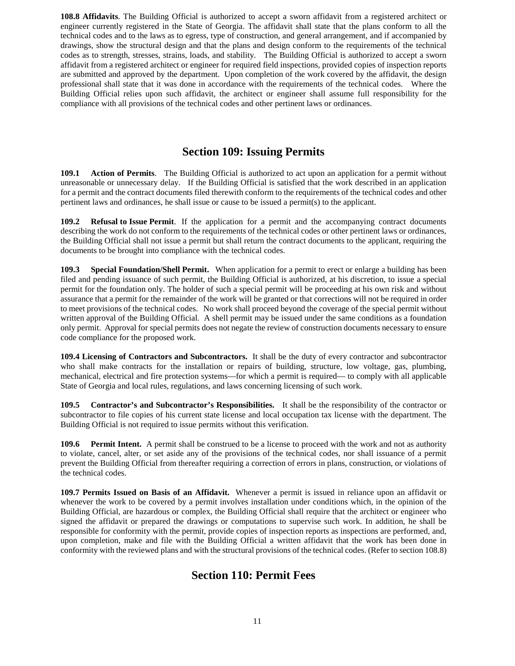**108.8 Affidavits**. The Building Official is authorized to accept a sworn affidavit from a registered architect or engineer currently registered in the State of Georgia. The affidavit shall state that the plans conform to all the technical codes and to the laws as to egress, type of construction, and general arrangement, and if accompanied by drawings, show the structural design and that the plans and design conform to the requirements of the technical codes as to strength, stresses, strains, loads, and stability. The Building Official is authorized to accept a sworn affidavit from a registered architect or engineer for required field inspections, provided copies of inspection reports are submitted and approved by the department. Upon completion of the work covered by the affidavit, the design professional shall state that it was done in accordance with the requirements of the technical codes. Where the Building Official relies upon such affidavit, the architect or engineer shall assume full responsibility for the compliance with all provisions of the technical codes and other pertinent laws or ordinances.

## **Section 109: Issuing Permits**

**109.1 Action of Permits**. The Building Official is authorized to act upon an application for a permit without unreasonable or unnecessary delay. If the Building Official is satisfied that the work described in an application for a permit and the contract documents filed therewith conform to the requirements of the technical codes and other pertinent laws and ordinances, he shall issue or cause to be issued a permit(s) to the applicant.

**109.2 Refusal to Issue Permit**. If the application for a permit and the accompanying contract documents describing the work do not conform to the requirements of the technical codes or other pertinent laws or ordinances, the Building Official shall not issue a permit but shall return the contract documents to the applicant, requiring the documents to be brought into compliance with the technical codes.

**109.3 Special Foundation/Shell Permit.** When application for a permit to erect or enlarge a building has been filed and pending issuance of such permit, the Building Official is authorized, at his discretion, to issue a special permit for the foundation only. The holder of such a special permit will be proceeding at his own risk and without assurance that a permit for the remainder of the work will be granted or that corrections will not be required in order to meet provisions of the technical codes. No work shall proceed beyond the coverage of the special permit without written approval of the Building Official. A shell permit may be issued under the same conditions as a foundation only permit. Approval for special permits does not negate the review of construction documents necessary to ensure code compliance for the proposed work.

**109.4 Licensing of Contractors and Subcontractors.** It shall be the duty of every contractor and subcontractor who shall make contracts for the installation or repairs of building, structure, low voltage, gas, plumbing, mechanical, electrical and fire protection systems—for which a permit is required— to comply with all applicable State of Georgia and local rules, regulations, and laws concerning licensing of such work.

**109.5 Contractor's and Subcontractor's Responsibilities.** It shall be the responsibility of the contractor or subcontractor to file copies of his current state license and local occupation tax license with the department. The Building Official is not required to issue permits without this verification.

**109.6 Permit Intent.** A permit shall be construed to be a license to proceed with the work and not as authority to violate, cancel, alter, or set aside any of the provisions of the technical codes, nor shall issuance of a permit prevent the Building Official from thereafter requiring a correction of errors in plans, construction, or violations of the technical codes.

**109.7 Permits Issued on Basis of an Affidavit.** Whenever a permit is issued in reliance upon an affidavit or whenever the work to be covered by a permit involves installation under conditions which, in the opinion of the Building Official, are hazardous or complex, the Building Official shall require that the architect or engineer who signed the affidavit or prepared the drawings or computations to supervise such work. In addition, he shall be responsible for conformity with the permit, provide copies of inspection reports as inspections are performed, and, upon completion, make and file with the Building Official a written affidavit that the work has been done in conformity with the reviewed plans and with the structural provisions of the technical codes. (Refer to section 108.8)

### **Section 110: Permit Fees**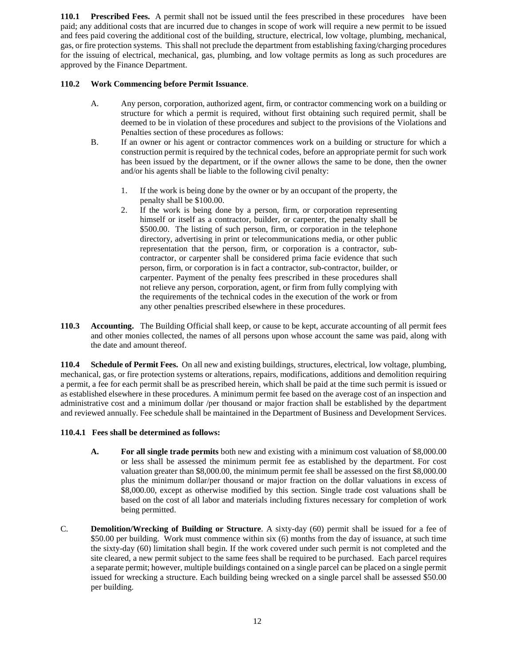**110.1 Prescribed Fees.** A permit shall not be issued until the fees prescribed in these procedures have been paid; any additional costs that are incurred due to changes in scope of work will require a new permit to be issued and fees paid covering the additional cost of the building, structure, electrical, low voltage, plumbing, mechanical, gas, or fire protection systems. This shall not preclude the department from establishing faxing/charging procedures for the issuing of electrical, mechanical, gas, plumbing, and low voltage permits as long as such procedures are approved by the Finance Department.

#### **110.2 Work Commencing before Permit Issuance**.

- A. Any person, corporation, authorized agent, firm, or contractor commencing work on a building or structure for which a permit is required, without first obtaining such required permit, shall be deemed to be in violation of these procedures and subject to the provisions of the Violations and Penalties section of these procedures as follows:
- B. If an owner or his agent or contractor commences work on a building or structure for which a construction permit is required by the technical codes, before an appropriate permit for such work has been issued by the department, or if the owner allows the same to be done, then the owner and/or his agents shall be liable to the following civil penalty:
	- 1. If the work is being done by the owner or by an occupant of the property, the penalty shall be \$100.00.
	- 2. If the work is being done by a person, firm, or corporation representing himself or itself as a contractor, builder, or carpenter, the penalty shall be \$500.00. The listing of such person, firm, or corporation in the telephone directory, advertising in print or telecommunications media, or other public representation that the person, firm, or corporation is a contractor, subcontractor, or carpenter shall be considered prima facie evidence that such person, firm, or corporation is in fact a contractor, sub-contractor, builder, or carpenter. Payment of the penalty fees prescribed in these procedures shall not relieve any person, corporation, agent, or firm from fully complying with the requirements of the technical codes in the execution of the work or from any other penalties prescribed elsewhere in these procedures.
- **110.3 Accounting.** The Building Official shall keep, or cause to be kept, accurate accounting of all permit fees and other monies collected, the names of all persons upon whose account the same was paid, along with the date and amount thereof.

**110.4 Schedule of Permit Fees.** On all new and existing buildings, structures, electrical, low voltage, plumbing, mechanical, gas, or fire protection systems or alterations, repairs, modifications, additions and demolition requiring a permit, a fee for each permit shall be as prescribed herein, which shall be paid at the time such permit is issued or as established elsewhere in these procedures. A minimum permit fee based on the average cost of an inspection and administrative cost and a minimum dollar /per thousand or major fraction shall be established by the department and reviewed annually. Fee schedule shall be maintained in the Department of Business and Development Services.

#### **110.4.1 Fees shall be determined as follows:**

- **A. For all single trade permits** both new and existing with a minimum cost valuation of \$8,000.00 or less shall be assessed the minimum permit fee as established by the department. For cost valuation greater than \$8,000.00, the minimum permit fee shall be assessed on the first \$8,000.00 plus the minimum dollar/per thousand or major fraction on the dollar valuations in excess of \$8,000.00, except as otherwise modified by this section. Single trade cost valuations shall be based on the cost of all labor and materials including fixtures necessary for completion of work being permitted.
- C. **Demolition/Wrecking of Building or Structure**. A sixty-day (60) permit shall be issued for a fee of \$50.00 per building. Work must commence within six (6) months from the day of issuance, at such time the sixty-day (60) limitation shall begin. If the work covered under such permit is not completed and the site cleared, a new permit subject to the same fees shall be required to be purchased. Each parcel requires a separate permit; however, multiple buildings contained on a single parcel can be placed on a single permit issued for wrecking a structure. Each building being wrecked on a single parcel shall be assessed \$50.00 per building.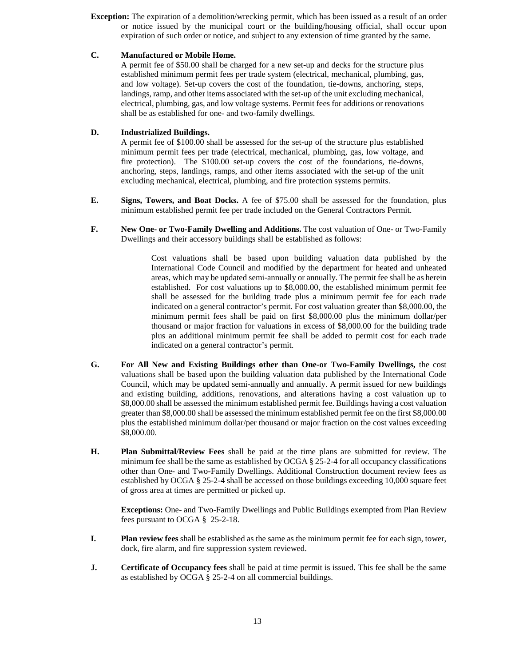**Exception:** The expiration of a demolition/wrecking permit, which has been issued as a result of an order or notice issued by the municipal court or the building/housing official, shall occur upon expiration of such order or notice, and subject to any extension of time granted by the same.

#### **C. Manufactured or Mobile Home.**

A permit fee of \$50.00 shall be charged for a new set-up and decks for the structure plus established minimum permit fees per trade system (electrical, mechanical, plumbing, gas, and low voltage). Set-up covers the cost of the foundation, tie-downs, anchoring, steps, landings, ramp, and other items associated with the set-up of the unit excluding mechanical, electrical, plumbing, gas, and low voltage systems. Permit fees for additions or renovations shall be as established for one- and two-family dwellings.

#### **D. Industrialized Buildings.**

A permit fee of \$100.00 shall be assessed for the set-up of the structure plus established minimum permit fees per trade (electrical, mechanical, plumbing, gas, low voltage, and fire protection). The \$100.00 set-up covers the cost of the foundations, tie-downs, anchoring, steps, landings, ramps, and other items associated with the set-up of the unit excluding mechanical, electrical, plumbing, and fire protection systems permits.

- **E. Signs, Towers, and Boat Docks.** A fee of \$75.00 shall be assessed for the foundation, plus minimum established permit fee per trade included on the General Contractors Permit.
- **F. New One- or Two-Family Dwelling and Additions.** The cost valuation of One- or Two-Family Dwellings and their accessory buildings shall be established as follows:

Cost valuations shall be based upon building valuation data published by the International Code Council and modified by the department for heated and unheated areas, which may be updated semi-annually or annually. The permit fee shall be as herein established. For cost valuations up to \$8,000.00, the established minimum permit fee shall be assessed for the building trade plus a minimum permit fee for each trade indicated on a general contractor's permit. For cost valuation greater than \$8,000.00, the minimum permit fees shall be paid on first \$8,000.00 plus the minimum dollar/per thousand or major fraction for valuations in excess of \$8,000.00 for the building trade plus an additional minimum permit fee shall be added to permit cost for each trade indicated on a general contractor's permit.

- **G. For All New and Existing Buildings other than One-or Two-Family Dwellings,** the cost valuations shall be based upon the building valuation data published by the International Code Council, which may be updated semi-annually and annually. A permit issued for new buildings and existing building, additions, renovations, and alterations having a cost valuation up to \$8,000.00 shall be assessed the minimum established permit fee. Buildings having a cost valuation greater than \$8,000.00 shall be assessed the minimum established permit fee on the first \$8,000.00 plus the established minimum dollar/per thousand or major fraction on the cost values exceeding \$8,000.00.
- **H. Plan Submittal/Review Fees** shall be paid at the time plans are submitted for review. The minimum fee shall be the same as established by OCGA § 25-2-4 for all occupancy classifications other than One- and Two-Family Dwellings. Additional Construction document review fees as established by OCGA § 25-2-4 shall be accessed on those buildings exceeding 10,000 square feet of gross area at times are permitted or picked up.

**Exceptions:** One- and Two-Family Dwellings and Public Buildings exempted from Plan Review fees pursuant to OCGA § 25-2-18.

- **I. Plan review fees** shall be established as the same as the minimum permit fee for each sign, tower, dock, fire alarm, and fire suppression system reviewed.
- **J. Certificate of Occupancy fees** shall be paid at time permit is issued. This fee shall be the same as established by OCGA § 25-2-4 on all commercial buildings.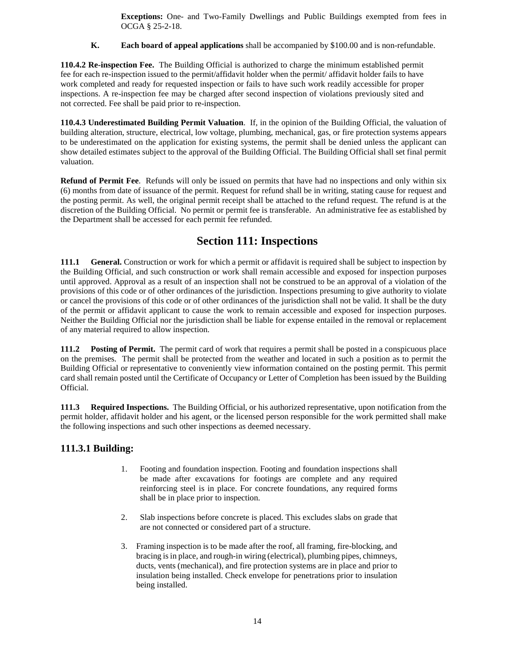**Exceptions:** One- and Two-Family Dwellings and Public Buildings exempted from fees in OCGA § 25-2-18.

**K. Each board of appeal applications** shall be accompanied by \$100.00 and is non-refundable.

**110.4.2 Re-inspection Fee.** The Building Official is authorized to charge the minimum established permit fee for each re-inspection issued to the permit/affidavit holder when the permit/ affidavit holder fails to have work completed and ready for requested inspection or fails to have such work readily accessible for proper inspections. A re-inspection fee may be charged after second inspection of violations previously sited and not corrected. Fee shall be paid prior to re-inspection.

**110.4.3 Underestimated Building Permit Valuation**. If, in the opinion of the Building Official, the valuation of building alteration, structure, electrical, low voltage, plumbing, mechanical, gas, or fire protection systems appears to be underestimated on the application for existing systems, the permit shall be denied unless the applicant can show detailed estimates subject to the approval of the Building Official. The Building Official shall set final permit valuation.

**Refund of Permit Fee**. Refunds will only be issued on permits that have had no inspections and only within six (6) months from date of issuance of the permit. Request for refund shall be in writing, stating cause for request and the posting permit. As well, the original permit receipt shall be attached to the refund request. The refund is at the discretion of the Building Official. No permit or permit fee is transferable. An administrative fee as established by the Department shall be accessed for each permit fee refunded.

## **Section 111: Inspections**

**111.1 General.** Construction or work for which a permit or affidavit is required shall be subject to inspection by the Building Official, and such construction or work shall remain accessible and exposed for inspection purposes until approved. Approval as a result of an inspection shall not be construed to be an approval of a violation of the provisions of this code or of other ordinances of the jurisdiction. Inspections presuming to give authority to violate or cancel the provisions of this code or of other ordinances of the jurisdiction shall not be valid. It shall be the duty of the permit or affidavit applicant to cause the work to remain accessible and exposed for inspection purposes. Neither the Building Official nor the jurisdiction shall be liable for expense entailed in the removal or replacement of any material required to allow inspection.

**111.2 Posting of Permit.** The permit card of work that requires a permit shall be posted in a conspicuous place on the premises. The permit shall be protected from the weather and located in such a position as to permit the Building Official or representative to conveniently view information contained on the posting permit. This permit card shall remain posted until the Certificate of Occupancy or Letter of Completion has been issued by the Building Official.

**111.3 Required Inspections.** The Building Official, or his authorized representative, upon notification from the permit holder, affidavit holder and his agent, or the licensed person responsible for the work permitted shall make the following inspections and such other inspections as deemed necessary.

### **111.3.1 Building:**

- 1. Footing and foundation inspection. Footing and foundation inspections shall be made after excavations for footings are complete and any required reinforcing steel is in place. For concrete foundations, any required forms shall be in place prior to inspection.
- 2. Slab inspections before concrete is placed. This excludes slabs on grade that are not connected or considered part of a structure.
- 3. Framing inspection is to be made after the roof, all framing, fire-blocking, and bracing is in place, and rough-in wiring (electrical), plumbing pipes, chimneys, ducts, vents (mechanical), and fire protection systems are in place and prior to insulation being installed. Check envelope for penetrations prior to insulation being installed.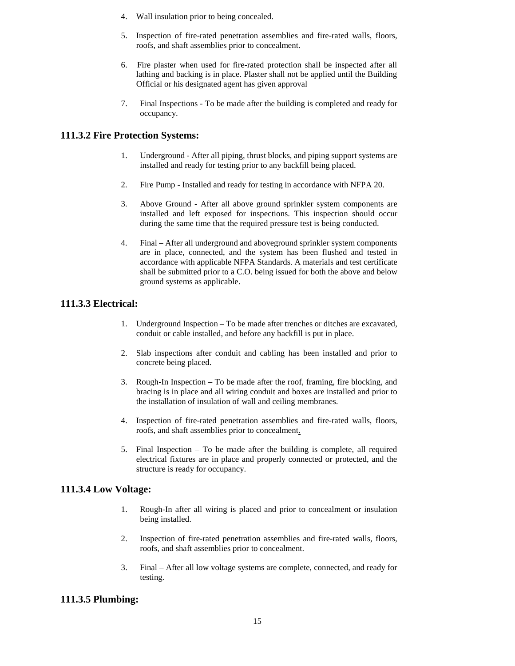- 4. Wall insulation prior to being concealed.
- 5. Inspection of fire-rated penetration assemblies and fire-rated walls, floors, roofs, and shaft assemblies prior to concealment.
- 6. Fire plaster when used for fire-rated protection shall be inspected after all lathing and backing is in place. Plaster shall not be applied until the Building Official or his designated agent has given approval
- 7. Final Inspections To be made after the building is completed and ready for occupancy.

### **111.3.2 Fire Protection Systems:**

- 1. Underground After all piping, thrust blocks, and piping support systems are installed and ready for testing prior to any backfill being placed.
- 2. Fire Pump Installed and ready for testing in accordance with NFPA 20.
- 3. Above Ground After all above ground sprinkler system components are installed and left exposed for inspections. This inspection should occur during the same time that the required pressure test is being conducted.
- 4. Final After all underground and aboveground sprinkler system components are in place, connected, and the system has been flushed and tested in accordance with applicable NFPA Standards. A materials and test certificate shall be submitted prior to a C.O. being issued for both the above and below ground systems as applicable.

### **111.3.3 Electrical:**

- 1. Underground Inspection To be made after trenches or ditches are excavated, conduit or cable installed, and before any backfill is put in place.
- 2. Slab inspections after conduit and cabling has been installed and prior to concrete being placed.
- 3. Rough-In Inspection To be made after the roof, framing, fire blocking, and bracing is in place and all wiring conduit and boxes are installed and prior to the installation of insulation of wall and ceiling membranes.
- 4. Inspection of fire-rated penetration assemblies and fire-rated walls, floors, roofs, and shaft assemblies prior to concealment.
- 5. Final Inspection To be made after the building is complete, all required electrical fixtures are in place and properly connected or protected, and the structure is ready for occupancy.

### **111.3.4 Low Voltage:**

- 1. Rough-In after all wiring is placed and prior to concealment or insulation being installed.
- 2. Inspection of fire-rated penetration assemblies and fire-rated walls, floors, roofs, and shaft assemblies prior to concealment.
- 3. Final After all low voltage systems are complete, connected, and ready for testing.

### **111.3.5 Plumbing:**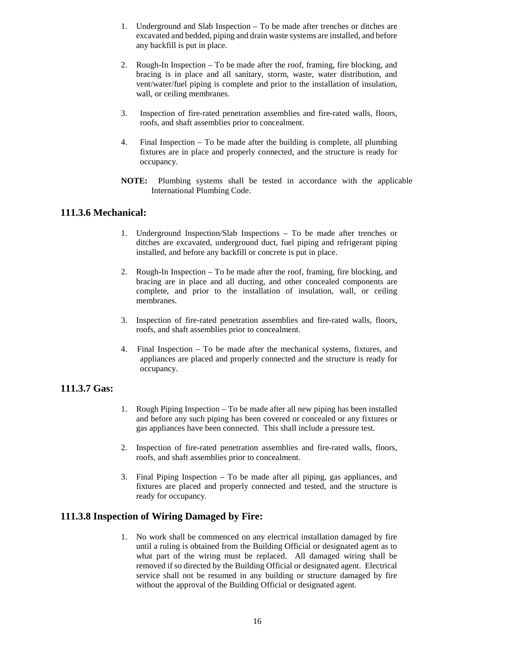- 1. Underground and Slab Inspection To be made after trenches or ditches are excavated and bedded, piping and drain waste systems are installed, and before any backfill is put in place.
- 2. Rough-In Inspection To be made after the roof, framing, fire blocking, and bracing is in place and all sanitary, storm, waste, water distribution, and vent/water/fuel piping is complete and prior to the installation of insulation, wall, or ceiling membranes.
- 3. Inspection of fire-rated penetration assemblies and fire-rated walls, floors, roofs, and shaft assemblies prior to concealment.
- 4. Final Inspection To be made after the building is complete, all plumbing fixtures are in place and properly connected, and the structure is ready for occupancy.
- **NOTE:** Plumbing systems shall be tested in accordance with the applicable International Plumbing Code.

#### **111.3.6 Mechanical:**

- 1. Underground Inspection/Slab Inspections To be made after trenches or ditches are excavated, underground duct, fuel piping and refrigerant piping installed, and before any backfill or concrete is put in place.
- 2. Rough-In Inspection To be made after the roof, framing, fire blocking, and bracing are in place and all ducting, and other concealed components are complete, and prior to the installation of insulation, wall, or ceiling membranes.
- 3. Inspection of fire-rated penetration assemblies and fire-rated walls, floors, roofs, and shaft assemblies prior to concealment.
- 4. Final Inspection To be made after the mechanical systems, fixtures, and appliances are placed and properly connected and the structure is ready for occupancy.

### **111.3.7 Gas:**

- 1. Rough Piping Inspection To be made after all new piping has been installed and before any such piping has been covered or concealed or any fixtures or gas appliances have been connected. This shall include a pressure test.
- 2. Inspection of fire-rated penetration assemblies and fire-rated walls, floors, roofs, and shaft assemblies prior to concealment.
- 3. Final Piping Inspection To be made after all piping, gas appliances, and fixtures are placed and properly connected and tested, and the structure is ready for occupancy.

### **111.3.8 Inspection of Wiring Damaged by Fire:**

1. No work shall be commenced on any electrical installation damaged by fire until a ruling is obtained from the Building Official or designated agent as to what part of the wiring must be replaced. All damaged wiring shall be removed if so directed by the Building Official or designated agent. Electrical service shall not be resumed in any building or structure damaged by fire without the approval of the Building Official or designated agent.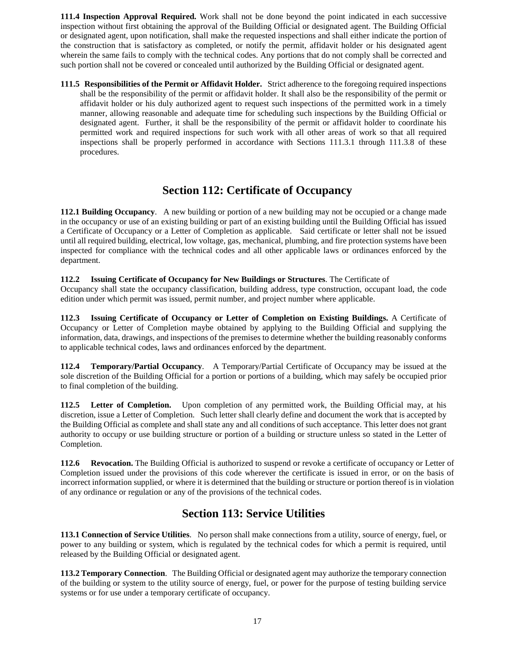**111.4 Inspection Approval Required.** Work shall not be done beyond the point indicated in each successive inspection without first obtaining the approval of the Building Official or designated agent. The Building Official or designated agent, upon notification, shall make the requested inspections and shall either indicate the portion of the construction that is satisfactory as completed, or notify the permit, affidavit holder or his designated agent wherein the same fails to comply with the technical codes. Any portions that do not comply shall be corrected and such portion shall not be covered or concealed until authorized by the Building Official or designated agent.

**111.5 Responsibilities of the Permit or Affidavit Holder.** Strict adherence to the foregoing required inspections shall be the responsibility of the permit or affidavit holder. It shall also be the responsibility of the permit or affidavit holder or his duly authorized agent to request such inspections of the permitted work in a timely manner, allowing reasonable and adequate time for scheduling such inspections by the Building Official or designated agent. Further, it shall be the responsibility of the permit or affidavit holder to coordinate his permitted work and required inspections for such work with all other areas of work so that all required inspections shall be properly performed in accordance with Sections 111.3.1 through 111.3.8 of these procedures.

## **Section 112: Certificate of Occupancy**

**112.1 Building Occupancy**. A new building or portion of a new building may not be occupied or a change made in the occupancy or use of an existing building or part of an existing building until the Building Official has issued a Certificate of Occupancy or a Letter of Completion as applicable. Said certificate or letter shall not be issued until all required building, electrical, low voltage, gas, mechanical, plumbing, and fire protection systems have been inspected for compliance with the technical codes and all other applicable laws or ordinances enforced by the department.

#### **112.2 Issuing Certificate of Occupancy for New Buildings or Structures**. The Certificate of

Occupancy shall state the occupancy classification, building address, type construction, occupant load, the code edition under which permit was issued, permit number, and project number where applicable.

**112.3 Issuing Certificate of Occupancy or Letter of Completion on Existing Buildings.** A Certificate of Occupancy or Letter of Completion maybe obtained by applying to the Building Official and supplying the information, data, drawings, and inspections of the premises to determine whether the building reasonably conforms to applicable technical codes, laws and ordinances enforced by the department.

**112.4 Temporary/Partial Occupancy**. A Temporary/Partial Certificate of Occupancy may be issued at the sole discretion of the Building Official for a portion or portions of a building, which may safely be occupied prior to final completion of the building.

**112.5 Letter of Completion.** Upon completion of any permitted work, the Building Official may, at his discretion, issue a Letter of Completion. Such letter shall clearly define and document the work that is accepted by the Building Official as complete and shall state any and all conditions of such acceptance. This letter does not grant authority to occupy or use building structure or portion of a building or structure unless so stated in the Letter of Completion.

**112.6 Revocation.** The Building Official is authorized to suspend or revoke a certificate of occupancy or Letter of Completion issued under the provisions of this code wherever the certificate is issued in error, or on the basis of incorrect information supplied, or where it is determined that the building or structure or portion thereof is in violation of any ordinance or regulation or any of the provisions of the technical codes.

## **Section 113: Service Utilities**

**113.1 Connection of Service Utilities**. No person shall make connections from a utility, source of energy, fuel, or power to any building or system, which is regulated by the technical codes for which a permit is required, until released by the Building Official or designated agent.

**113.2 Temporary Connection**. The Building Official or designated agent may authorize the temporary connection of the building or system to the utility source of energy, fuel, or power for the purpose of testing building service systems or for use under a temporary certificate of occupancy.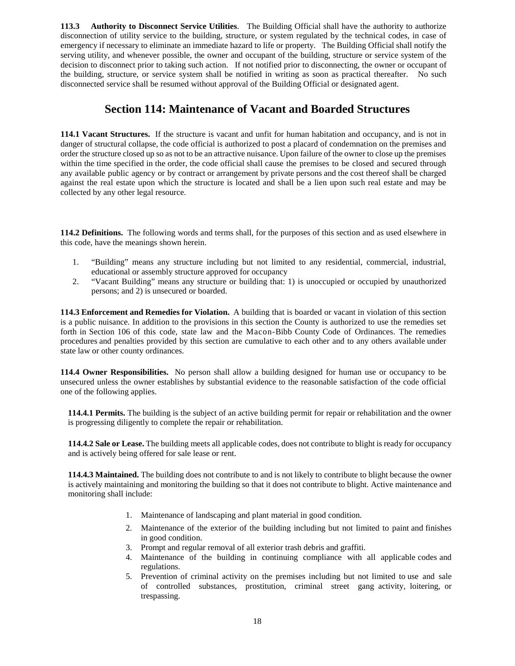**113.3 Authority to Disconnect Service Utilities**. The Building Official shall have the authority to authorize disconnection of utility service to the building, structure, or system regulated by the technical codes, in case of emergency if necessary to eliminate an immediate hazard to life or property. The Building Official shall notify the serving utility, and whenever possible, the owner and occupant of the building, structure or service system of the decision to disconnect prior to taking such action. If not notified prior to disconnecting, the owner or occupant of the building, structure, or service system shall be notified in writing as soon as practical thereafter. No such disconnected service shall be resumed without approval of the Building Official or designated agent.

## **Section 114: Maintenance of Vacant and Boarded Structures**

**114.1 Vacant Structures.** If the structure is vacant and unfit for human habitation and occupancy, and is not in danger of structural collapse, the code official is authorized to post a placard of condemnation on the premises and order the structure closed up so as not to be an attractive nuisance. Upon failure of the owner to close up the premises within the time specified in the order, the code official shall cause the premises to be closed and secured through any available public agency or by contract or arrangement by private persons and the cost thereof shall be charged against the real estate upon which the structure is located and shall be a lien upon such real estate and may be collected by any other legal resource.

**114.2 Definitions.** The following words and terms shall, for the purposes of this section and as used elsewhere in this code, have the meanings shown herein.

- 1. "Building" means any structure including but not limited to any residential, commercial, industrial, educational or assembly structure approved for occupancy
- 2. "Vacant Building" means any structure or building that: 1) is unoccupied or occupied by unauthorized persons; and 2) is unsecured or boarded.

**114.3 Enforcement and Remedies for Violation.** A building that is boarded or vacant in violation of this section is a public nuisance. In addition to the provisions in this section the County is authorized to use the remedies set forth in Section 106 of this code, state law and the Macon-Bibb County Code of Ordinances. The remedies procedures and penalties provided by this section are cumulative to each other and to any others available under state law or other county ordinances.

**114.4 Owner Responsibilities.** No person shall allow a building designed for human use or occupancy to be unsecured unless the owner establishes by substantial evidence to the reasonable satisfaction of the code official one of the following applies.

**114.4.1 Permits.** The building is the subject of an active building permit for repair or rehabilitation and the owner is progressing diligently to complete the repair or rehabilitation.

**114.4.2 Sale or Lease.** The building meets all applicable codes, does not contribute to blight is ready for occupancy and is actively being offered for sale lease or rent.

**114.4.3 Maintained.** The building does not contribute to and is not likely to contribute to blight because the owner is actively maintaining and monitoring the building so that it does not contribute to blight. Active maintenance and monitoring shall include:

- 1. Maintenance of landscaping and plant material in good condition.
- 2. Maintenance of the exterior of the building including but not limited to paint and finishes in good condition.
- 3. Prompt and regular removal of all exterior trash debris and graffiti.
- 4. Maintenance of the building in continuing compliance with all applicable codes and regulations.
- 5. Prevention of criminal activity on the premises including but not limited to use and sale of controlled substances, prostitution, criminal street gang activity, loitering, or trespassing.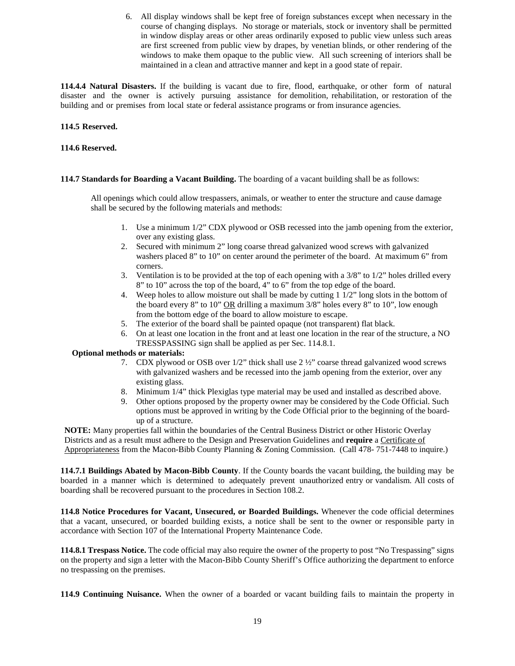6. All display windows shall be kept free of foreign substances except when necessary in the course of changing displays. No storage or materials, stock or inventory shall be permitted in window display areas or other areas ordinarily exposed to public view unless such areas are first screened from public view by drapes, by venetian blinds, or other rendering of the windows to make them opaque to the public view. All such screening of interiors shall be maintained in a clean and attractive manner and kept in a good state of repair.

**114.4.4 Natural Disasters.** If the building is vacant due to fire, flood, earthquake, or other form of natural disaster and the owner is actively pursuing assistance for demolition, rehabilitation, or restoration of the building and or premises from local state or federal assistance programs or from insurance agencies.

#### **114.5 Reserved.**

#### **114.6 Reserved.**

#### **114.7 Standards for Boarding a Vacant Building.** The boarding of a vacant building shall be as follows:

All openings which could allow trespassers, animals, or weather to enter the structure and cause damage shall be secured by the following materials and methods:

- 1. Use a minimum 1/2" CDX plywood or OSB recessed into the jamb opening from the exterior, over any existing glass.
- 2. Secured with minimum 2" long coarse thread galvanized wood screws with galvanized washers placed 8" to 10" on center around the perimeter of the board. At maximum 6" from corners.
- 3. Ventilation is to be provided at the top of each opening with a 3/8" to 1/2" holes drilled every 8" to 10" across the top of the board, 4" to 6" from the top edge of the board.
- 4. Weep holes to allow moisture out shall be made by cutting 1 1/2" long slots in the bottom of the board every 8" to 10"  $OR$  drilling a maximum 3/8" holes every 8" to 10", low enough from the bottom edge of the board to allow moisture to escape.
- 5. The exterior of the board shall be painted opaque (not transparent) flat black.
- 6. On at least one location in the front and at least one location in the rear of the structure, a NO TRESSPASSING sign shall be applied as per Sec. 114.8.1.

#### **Optional methods or materials:**

- 7. CDX plywood or OSB over  $1/2$ " thick shall use  $2\frac{1}{2}$ " coarse thread galvanized wood screws with galvanized washers and be recessed into the jamb opening from the exterior, over any existing glass.
- 8. Minimum 1/4" thick Plexiglas type material may be used and installed as described above.
- 9. Other options proposed by the property owner may be considered by the Code Official. Such options must be approved in writing by the Code Official prior to the beginning of the boardup of a structure.

**NOTE:** Many properties fall within the boundaries of the Central Business District or other Historic Overlay Districts and as a result must adhere to the Design and Preservation Guidelines and **require** a Certificate of Appropriateness from the Macon-Bibb County Planning & Zoning Commission. (Call 478- 751-7448 to inquire.)

**114.7.1 Buildings Abated by Macon-Bibb County**. If the County boards the vacant building, the building may be boarded in a manner which is determined to adequately prevent unauthorized entry or vandalism. All costs of boarding shall be recovered pursuant to the procedures in Section 108.2.

**114.8 Notice Procedures for Vacant, Unsecured, or Boarded Buildings.** Whenever the code official determines that a vacant, unsecured, or boarded building exists, a notice shall be sent to the owner or responsible party in accordance with Section 107 of the International Property Maintenance Code.

**114.8.1 Trespass Notice.** The code official may also require the owner of the property to post "No Trespassing" signs on the property and sign a letter with the Macon-Bibb County Sheriff's Office authorizing the department to enforce no trespassing on the premises.

**114.9 Continuing Nuisance.** When the owner of a boarded or vacant building fails to maintain the property in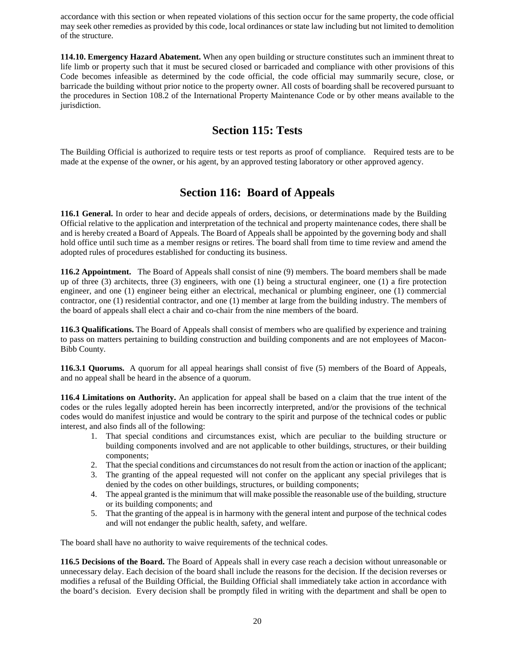accordance with this section or when repeated violations of this section occur for the same property, the code official may seek other remedies as provided by this code, local ordinances or state law including but not limited to demolition of the structure.

**114.10. Emergency Hazard Abatement.** When any open building or structure constitutes such an imminent threat to life limb or property such that it must be secured closed or barricaded and compliance with other provisions of this Code becomes infeasible as determined by the code official, the code official may summarily secure, close, or barricade the building without prior notice to the property owner. All costs of boarding shall be recovered pursuant to the procedures in Section 108.2 of the International Property Maintenance Code or by other means available to the jurisdiction.

## **Section 115: Tests**

The Building Official is authorized to require tests or test reports as proof of compliance. Required tests are to be made at the expense of the owner, or his agent, by an approved testing laboratory or other approved agency.

## **Section 116: Board of Appeals**

**116.1 General.** In order to hear and decide appeals of orders, decisions, or determinations made by the Building Official relative to the application and interpretation of the technical and property maintenance codes, there shall be and is hereby created a Board of Appeals. The Board of Appeals shall be appointed by the governing body and shall hold office until such time as a member resigns or retires. The board shall from time to time review and amend the adopted rules of procedures established for conducting its business.

**116.2 Appointment.** The Board of Appeals shall consist of nine (9) members. The board members shall be made up of three (3) architects, three (3) engineers, with one (1) being a structural engineer, one (1) a fire protection engineer, and one (1) engineer being either an electrical, mechanical or plumbing engineer, one (1) commercial contractor, one (1) residential contractor, and one (1) member at large from the building industry. The members of the board of appeals shall elect a chair and co-chair from the nine members of the board.

**116.3 Qualifications.** The Board of Appeals shall consist of members who are qualified by experience and training to pass on matters pertaining to building construction and building components and are not employees of Macon-Bibb County.

**116.3.1 Quorums.** A quorum for all appeal hearings shall consist of five (5) members of the Board of Appeals, and no appeal shall be heard in the absence of a quorum.

**116.4 Limitations on Authority.** An application for appeal shall be based on a claim that the true intent of the codes or the rules legally adopted herein has been incorrectly interpreted, and/or the provisions of the technical codes would do manifest injustice and would be contrary to the spirit and purpose of the technical codes or public interest, and also finds all of the following:

- 1. That special conditions and circumstances exist, which are peculiar to the building structure or building components involved and are not applicable to other buildings, structures, or their building components;
- 2. That the special conditions and circumstances do not result from the action or inaction of the applicant;
- 3. The granting of the appeal requested will not confer on the applicant any special privileges that is denied by the codes on other buildings, structures, or building components;
- 4. The appeal granted is the minimum that will make possible the reasonable use of the building, structure or its building components; and
- 5. That the granting of the appeal is in harmony with the general intent and purpose of the technical codes and will not endanger the public health, safety, and welfare.

The board shall have no authority to waive requirements of the technical codes.

**116.5 Decisions of the Board.** The Board of Appeals shall in every case reach a decision without unreasonable or unnecessary delay. Each decision of the board shall include the reasons for the decision. If the decision reverses or modifies a refusal of the Building Official, the Building Official shall immediately take action in accordance with the board's decision. Every decision shall be promptly filed in writing with the department and shall be open to